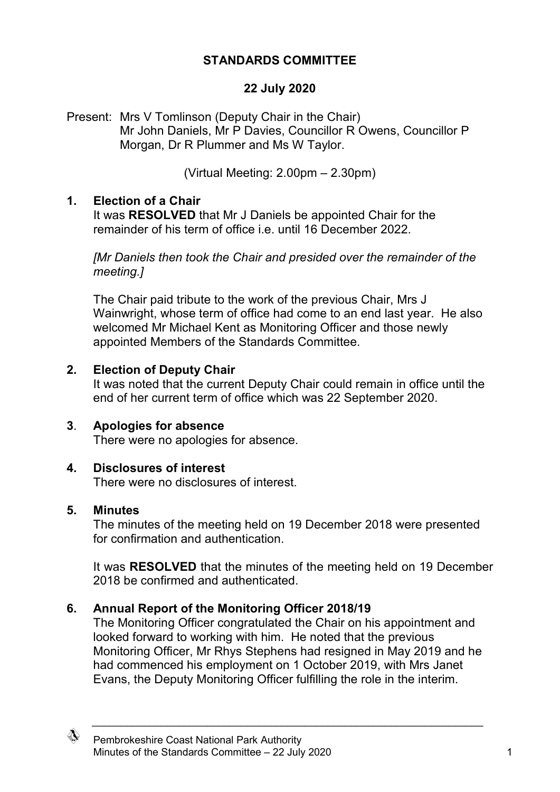# **STANDARDS COMMITTEE**

## **22 July 2020**

Present: Mrs V Tomlinson (Deputy Chair in the Chair) Mr John Daniels, Mr P Davies, Councillor R Owens, Councillor P Morgan, Dr R Plummer and Ms W Taylor.

(Virtual Meeting: 2.00pm – 2.30pm)

## **1. Election of a Chair**

It was **RESOLVED** that Mr J Daniels be appointed Chair for the remainder of his term of office i.e. until 16 December 2022.

*[Mr Daniels then took the Chair and presided over the remainder of the meeting.]*

The Chair paid tribute to the work of the previous Chair, Mrs J Wainwright, whose term of office had come to an end last year. He also welcomed Mr Michael Kent as Monitoring Officer and those newly appointed Members of the Standards Committee.

## **2. Election of Deputy Chair**

It was noted that the current Deputy Chair could remain in office until the end of her current term of office which was 22 September 2020.

#### **3**. **Apologies for absence**

There were no apologies for absence.

#### **4. Disclosures of interest**

There were no disclosures of interest.

#### **5. Minutes**

The minutes of the meeting held on 19 December 2018 were presented for confirmation and authentication.

It was **RESOLVED** that the minutes of the meeting held on 19 December 2018 be confirmed and authenticated.

# **6. Annual Report of the Monitoring Officer 2018/19**

The Monitoring Officer congratulated the Chair on his appointment and looked forward to working with him. He noted that the previous Monitoring Officer, Mr Rhys Stephens had resigned in May 2019 and he had commenced his employment on 1 October 2019, with Mrs Janet Evans, the Deputy Monitoring Officer fulfilling the role in the interim.

 $\_$  , and the set of the set of the set of the set of the set of the set of the set of the set of the set of the set of the set of the set of the set of the set of the set of the set of the set of the set of the set of th

</del>